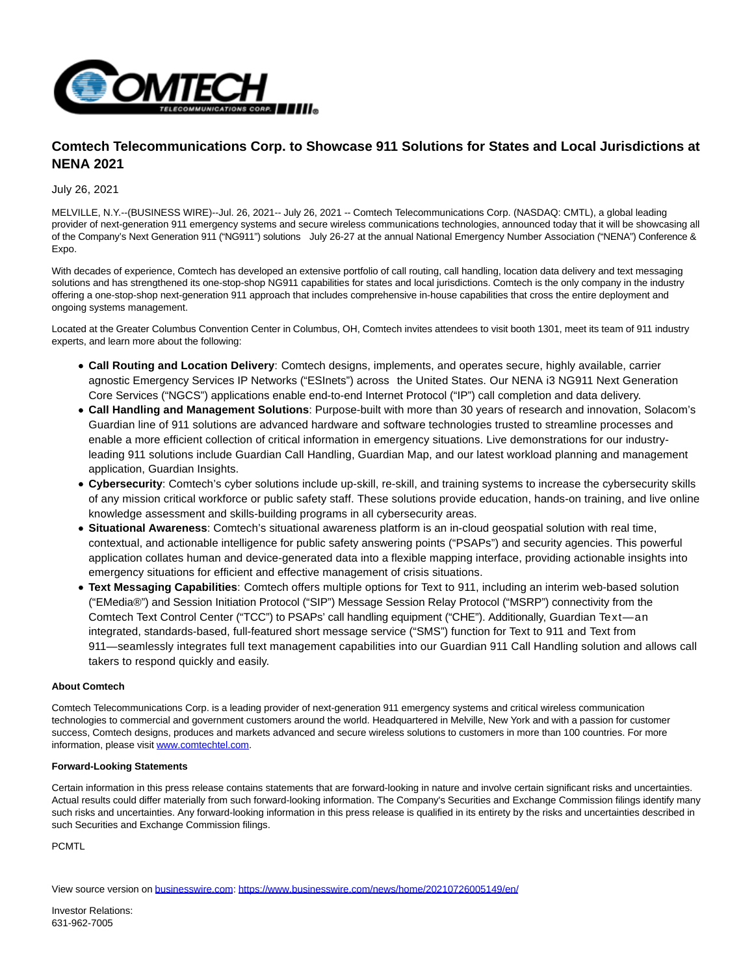

## **Comtech Telecommunications Corp. to Showcase 911 Solutions for States and Local Jurisdictions at NENA 2021**

July 26, 2021

MELVILLE, N.Y.--(BUSINESS WIRE)--Jul. 26, 2021-- July 26, 2021 -- Comtech Telecommunications Corp. (NASDAQ: CMTL), a global leading provider of next-generation 911 emergency systems and secure wireless communications technologies, announced today that it will be showcasing all of the Company's Next Generation 911 ("NG911") solutions July 26-27 at the annual National Emergency Number Association ("NENA") Conference & Expo.

With decades of experience, Comtech has developed an extensive portfolio of call routing, call handling, location data delivery and text messaging solutions and has strengthened its one-stop-shop NG911 capabilities for states and local jurisdictions. Comtech is the only company in the industry offering a one-stop-shop next-generation 911 approach that includes comprehensive in-house capabilities that cross the entire deployment and ongoing systems management.

Located at the Greater Columbus Convention Center in Columbus, OH, Comtech invites attendees to visit booth 1301, meet its team of 911 industry experts, and learn more about the following:

- **Call Routing and Location Delivery**: Comtech designs, implements, and operates secure, highly available, carrier agnostic Emergency Services IP Networks ("ESInets") across the United States. Our NENA i3 NG911 Next Generation Core Services ("NGCS") applications enable end-to-end Internet Protocol ("IP") call completion and data delivery.
- **Call Handling and Management Solutions**: Purpose-built with more than 30 years of research and innovation, Solacom's Guardian line of 911 solutions are advanced hardware and software technologies trusted to streamline processes and enable a more efficient collection of critical information in emergency situations. Live demonstrations for our industryleading 911 solutions include Guardian Call Handling, Guardian Map, and our latest workload planning and management application, Guardian Insights.
- **Cybersecurity**: Comtech's cyber solutions include up-skill, re-skill, and training systems to increase the cybersecurity skills of any mission critical workforce or public safety staff. These solutions provide education, hands-on training, and live online knowledge assessment and skills-building programs in all cybersecurity areas.
- **Situational Awareness**: Comtech's situational awareness platform is an in-cloud geospatial solution with real time, contextual, and actionable intelligence for public safety answering points ("PSAPs") and security agencies. This powerful application collates human and device-generated data into a flexible mapping interface, providing actionable insights into emergency situations for efficient and effective management of crisis situations.
- **Text Messaging Capabilities**: Comtech offers multiple options for Text to 911, including an interim web-based solution ("EMedia®") and Session Initiation Protocol ("SIP") Message Session Relay Protocol ("MSRP") connectivity from the Comtech Text Control Center ("TCC") to PSAPs' call handling equipment ("CHE"). Additionally, Guardian Text—an integrated, standards-based, full-featured short message service ("SMS") function for Text to 911 and Text from 911—seamlessly integrates full text management capabilities into our Guardian 911 Call Handling solution and allows call takers to respond quickly and easily.

## **About Comtech**

Comtech Telecommunications Corp. is a leading provider of next-generation 911 emergency systems and critical wireless communication technologies to commercial and government customers around the world. Headquartered in Melville, New York and with a passion for customer success, Comtech designs, produces and markets advanced and secure wireless solutions to customers in more than 100 countries. For more information, please visi[t www.comtechtel.com.](https://cts.businesswire.com/ct/CT?id=smartlink&url=http%3A%2F%2Fwww.comtechtel.com&esheet=52465251&newsitemid=20210726005149&lan=en-US&anchor=www.comtechtel.com&index=1&md5=bf53ec3a041fcb5efe7280a38f8e5ea0)

## **Forward-Looking Statements**

Certain information in this press release contains statements that are forward-looking in nature and involve certain significant risks and uncertainties. Actual results could differ materially from such forward-looking information. The Company's Securities and Exchange Commission filings identify many such risks and uncertainties. Any forward-looking information in this press release is qualified in its entirety by the risks and uncertainties described in such Securities and Exchange Commission filings.

PCMTL

View source version on [businesswire.com:](http://businesswire.com/)<https://www.businesswire.com/news/home/20210726005149/en/>